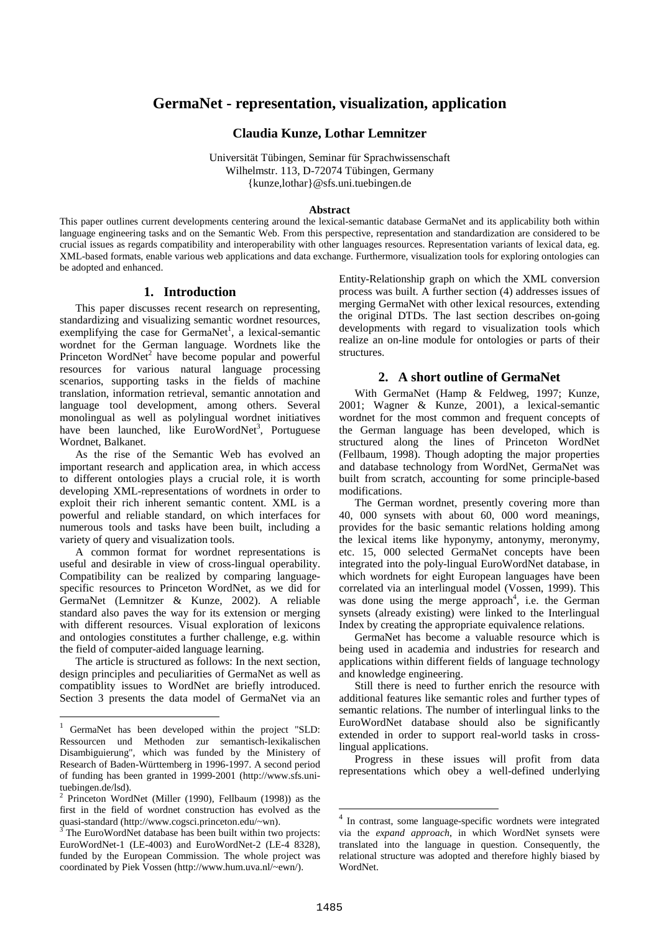# **GermaNet - representation, visualization, application**

#### **Claudia Kunze, Lothar Lemnitzer**

Universität Tübingen, Seminar für Sprachwissenschaft Wilhelmstr. 113, D-72074 Tübingen, Germany {kunze,lothar}@sfs.uni.tuebingen.de

#### **Abstract**

This paper outlines current developments centering around the lexical-semantic database GermaNet and its applicability both within language engineering tasks and on the Semantic Web. From this perspective, representation and standardization are considered to be crucial issues as regards compatibility and interoperability with other languages resources. Representation variants of lexical data, eg. XML-based formats, enable various web applications and data exchange. Furthermore, visualization tools for exploring ontologies can be adopted and enhanced.

#### **1. Introduction**

This paper discusses recent research on representing, standardizing and visualizing semantic wordnet resources, exemplifying the case for GermaNet<sup>1</sup>, a lexical-semantic wordnet for the German language. Wordnets like the Princeton WordNet<sup>2</sup> have become popular and powerful resources for various natural language processing scenarios, supporting tasks in the fields of machine translation, information retrieval, semantic annotation and language tool development, among others. Several monolingual as well as polylingual wordnet initiatives have been launched, like EuroWordNet<sup>3</sup>, Portuguese Wordnet, Balkanet.

As the rise of the Semantic Web has evolved an important research and application area, in which access to different ontologies plays a crucial role, it is worth developing XML-representations of wordnets in order to exploit their rich inherent semantic content. XML is a powerful and reliable standard, on which interfaces for numerous tools and tasks have been built, including a variety of query and visualization tools.

A common format for wordnet representations is useful and desirable in view of cross-lingual operability. Compatibility can be realized by comparing languagespecific resources to Princeton WordNet, as we did for GermaNet (Lemnitzer & Kunze, 2002). A reliable standard also paves the way for its extension or merging with different resources. Visual exploration of lexicons and ontologies constitutes a further challenge, e.g. within the field of computer-aided language learning.

The article is structured as follows: In the next section, design principles and peculiarities of GermaNet as well as compatiblity issues to WordNet are briefly introduced. Section 3 presents the data model of GermaNet via an Entity-Relationship graph on which the XML conversion process was built. A further section (4) addresses issues of merging GermaNet with other lexical resources, extending the original DTDs. The last section describes on-going developments with regard to visualization tools which realize an on-line module for ontologies or parts of their structures.

#### **2. A short outline of GermaNet**

With GermaNet (Hamp & Feldweg, 1997; Kunze, 2001; Wagner & Kunze, 2001), a lexical-semantic wordnet for the most common and frequent concepts of the German language has been developed, which is structured along the lines of Princeton WordNet (Fellbaum, 1998). Though adopting the major properties and database technology from WordNet, GermaNet was built from scratch, accounting for some principle-based modifications.

The German wordnet, presently covering more than 40, 000 synsets with about 60, 000 word meanings, provides for the basic semantic relations holding among the lexical items like hyponymy, antonymy, meronymy, etc. 15, 000 selected GermaNet concepts have been integrated into the poly-lingual EuroWordNet database, in which wordnets for eight European languages have been correlated via an interlingual model (Vossen, 1999). This was done using the merge approach<sup>4</sup>, i.e. the German synsets (already existing) were linked to the Interlingual Index by creating the appropriate equivalence relations.

GermaNet has become a valuable resource which is being used in academia and industries for research and applications within different fields of language technology and knowledge engineering.

Still there is need to further enrich the resource with additional features like semantic roles and further types of semantic relations. The number of interlingual links to the EuroWordNet database should also be significantly extended in order to support real-world tasks in crosslingual applications.

Progress in these issues will profit from data representations which obey a well-defined underlying

<sup>&</sup>lt;sup>1</sup> GermaNet has been developed within the project "SLD: Ressourcen und Methoden zur semantisch-lexikalischen Disambiguierung", which was funded by the Ministery of Research of Baden-Württemberg in 1996-1997. A second period of funding has been granted in 1999-2001 (http://www.sfs.unituebingen.de/lsd).

<sup>&</sup>lt;sup>2</sup> Princeton WordNet (Miller (1990), Fellbaum (1998)) as the first in the field of wordnet construction has evolved as the quasi-standard (http://www.cogsci.princeton.edu/~wn).

The EuroWordNet database has been built within two projects: EuroWordNet-1 (LE-4003) and EuroWordNet-2 (LE-4 8328), funded by the European Commission. The whole project was coordinated by Piek Vossen (http://www.hum.uva.nl/~ewn/).

<sup>4</sup> In contrast, some language-specific wordnets were integrated via the *expand approach*, in which WordNet synsets were translated into the language in question. Consequently, the relational structure was adopted and therefore highly biased by WordNet.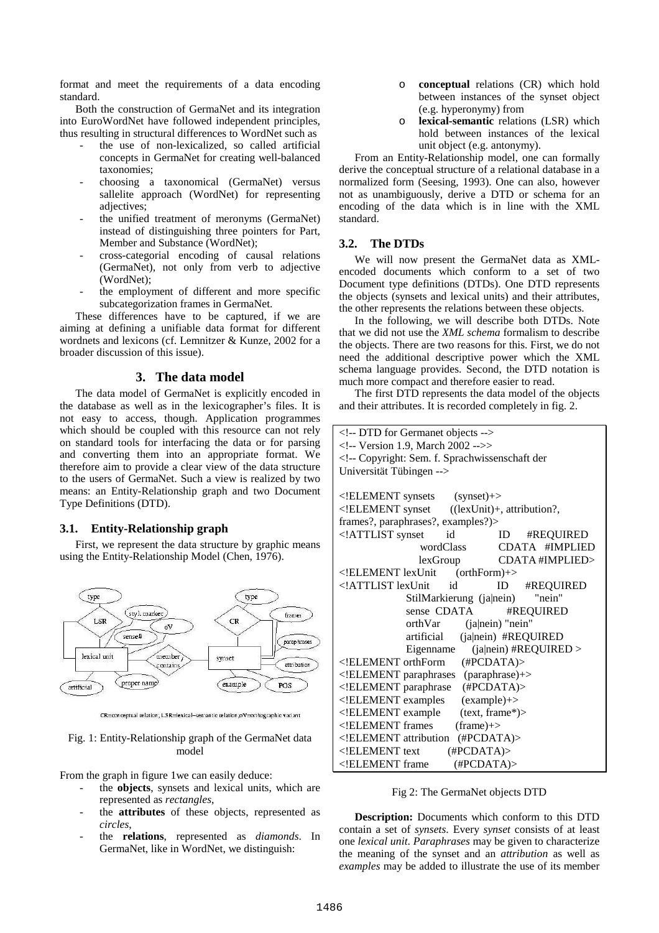format and meet the requirements of a data encoding standard.

Both the construction of GermaNet and its integration into EuroWordNet have followed independent principles, thus resulting in structural differences to WordNet such as

- the use of non-lexicalized, so called artificial concepts in GermaNet for creating well-balanced taxonomies;
- choosing a taxonomical (GermaNet) versus sallelite approach (WordNet) for representing adjectives;
- the unified treatment of meronyms (GermaNet) instead of distinguishing three pointers for Part, Member and Substance (WordNet);
- cross-categorial encoding of causal relations (GermaNet), not only from verb to adjective (WordNet);
- the employment of different and more specific subcategorization frames in GermaNet.

These differences have to be captured, if we are aiming at defining a unifiable data format for different wordnets and lexicons (cf. Lemnitzer & Kunze, 2002 for a broader discussion of this issue).

#### **3. The data model**

The data model of GermaNet is explicitly encoded in the database as well as in the lexicographer's files. It is not easy to access, though. Application programmes which should be coupled with this resource can not rely on standard tools for interfacing the data or for parsing and converting them into an appropriate format. We therefore aim to provide a clear view of the data structure to the users of GermaNet. Such a view is realized by two means: an Entity-Relationship graph and two Document Type Definitions (DTD).

#### **3.1. Entity-Relationship graph**

First, we represent the data structure by graphic means using the Entity-Relationship Model (Chen, 1976).



CR=conceptual relation; LSR=lexical-semantic relation; oV=orthographic variant

#### Fig. 1: Entity-Relationship graph of the GermaNet data model

From the graph in figure 1we can easily deduce:

- the **objects**, synsets and lexical units, which are represented as *rectangles*,
- the **attributes** of these objects, represented as *circles*,
- the **relations**, represented as *diamonds*. In GermaNet, like in WordNet, we distinguish:
- o **conceptual** relations (CR) which hold between instances of the synset object (e.g. hyperonymy) from
- o **lexical-semantic** relations (LSR) which hold between instances of the lexical unit object (e.g. antonymy).

From an Entity-Relationship model, one can formally derive the conceptual structure of a relational database in a normalized form (Seesing, 1993). One can also, however not as unambiguously, derive a DTD or schema for an encoding of the data which is in line with the XML standard.

#### **3.2. The DTDs**

We will now present the GermaNet data as XMLencoded documents which conform to a set of two Document type definitions (DTDs). One DTD represents the objects (synsets and lexical units) and their attributes, the other represents the relations between these objects.

In the following, we will describe both DTDs. Note that we did not use the *XML schema* formalism to describe the objects. There are two reasons for this. First, we do not need the additional descriptive power which the XML schema language provides. Second, the DTD notation is much more compact and therefore easier to read.

The first DTD represents the data model of the objects and their attributes. It is recorded completely in fig. 2.

| DTD for Germanet objects                                                        |
|---------------------------------------------------------------------------------|
| Version 1.9, March 2002 >                                                       |
| Copyright: Sem. f. Sprachwissenschaft der</td></tr><tr><td>Universität Tübingen |
|                                                                                 |
| $\leq$ !ELEMENT synsets (synset)+>                                              |
| ELEMENT synset ((lexUnit)+, attribution?,</td                                   |
| frames?, paraphrases?, examples?)>                                              |
| ATTLIST synset<br #REQUIRED<br>id<br>ID                                         |
| CDATA #IMPLIED<br>wordClass                                                     |
| lexGroup CDATA#IMPLIED>                                                         |
| ELEMENT lexUnit<br $(orthForm)+>$                                               |
| ATTLIST lexUnit id<br #REQUIRED<br>ID                                           |
| "nein"<br>StilMarkierung (ja nein)                                              |
| sense CDATA<br>#REQUIRED                                                        |
| orthVar (ja nein) "nein"                                                        |
| artificial (ja nein) #REQUIRED                                                  |
| $(ialnein)$ #REQUIRED ><br>Eigenname                                            |
| ELEMENT orthForm (#PCDATA)                                                      |
| ELEMENT paraphrases (paraphrase)+                                               |
| ELEMENT paraphrase (#PCDATA)                                                    |
| ELEMENT examples (example)+                                                     |
| ELEMENT example<br $(text, frame*)$                                             |
| ELEMENT frames<br $(fname)$ +>                                                  |
| ELEMENT attribution<br (HPCDATA)                                                |
| $\leq$ !ELEMENT text<br>(HPCDATA)                                               |
| (HPCDATA)<br>ELEMENT frame</td                                                  |

#### Fig 2: The GermaNet objects DTD

**Description:** Documents which conform to this DTD contain a set of *synsets*. Every *synset* consists of at least one *lexical unit*. *Paraphrases* may be given to characterize the meaning of the synset and an *attribution* as well as *examples* may be added to illustrate the use of its member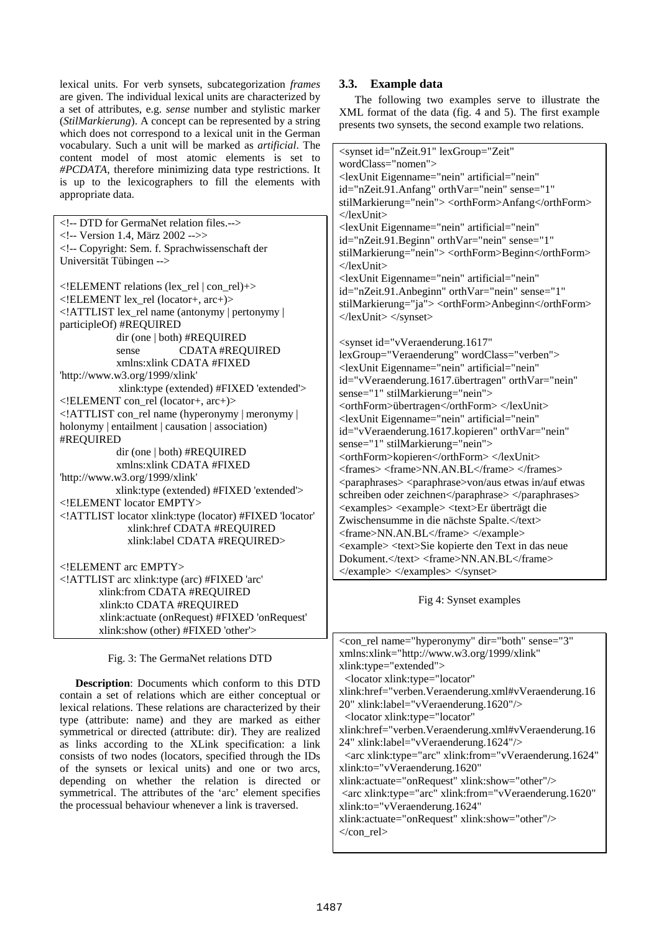lexical units. For verb synsets, subcategorization *frames* are given. The individual lexical units are characterized by a set of attributes, e.g. *sense* number and stylistic marker (*StilMarkierung*). A concept can be represented by a string which does not correspond to a lexical unit in the German vocabulary. Such a unit will be marked as *artificial*. The content model of most atomic elements is set to *#PCDATA*, therefore minimizing data type restrictions. It is up to the lexicographers to fill the elements with appropriate data.

<!-- DTD for GermaNet relation files.--> <!-- Version 1.4, März 2002 -->> <!-- Copyright: Sem. f. Sprachwissenschaft der Universität Tübingen --> <!ELEMENT relations (lex\_rel | con\_rel)+> <!ELEMENT lex\_rel (locator+, arc+)> <!ATTLIST lex\_rel name (antonymy | pertonymy | participleOf) #REQUIRED dir (one | both) #REQUIRED sense CDATA #REQUIRED xmlns:xlink CDATA #FIXED 'http://www.w3.org/1999/xlink' xlink:type (extended) #FIXED 'extended'> <!ELEMENT con\_rel (locator+, arc+)> <!ATTLIST con\_rel name (hyperonymy | meronymy | holonymy | entailment | causation | association) #REQUIRED dir (one | both) #REQUIRED xmlns:xlink CDATA #FIXED 'http://www.w3.org/1999/xlink' xlink:type (extended) #FIXED 'extended'> <!ELEMENT locator EMPTY> <!ATTLIST locator xlink:type (locator) #FIXED 'locator' xlink:href CDATA #REQUIRED xlink:label CDATA #REQUIRED> <!ELEMENT arc EMPTY> <!ATTLIST arc xlink:type (arc) #FIXED 'arc' xlink:from CDATA #REQUIRED xlink:to CDATA #REQUIRED xlink:actuate (onRequest) #FIXED 'onRequest' xlink:show (other) #FIXED 'other'>

#### Fig. 3: The GermaNet relations DTD

**Description**: Documents which conform to this DTD contain a set of relations which are either conceptual or lexical relations. These relations are characterized by their type (attribute: name) and they are marked as either symmetrical or directed (attribute: dir). They are realized as links according to the XLink specification: a link consists of two nodes (locators, specified through the IDs of the synsets or lexical units) and one or two arcs, depending on whether the relation is directed or symmetrical. The attributes of the 'arc' element specifies the processual behaviour whenever a link is traversed.

### **3.3. Example data**

The following two examples serve to illustrate the XML format of the data (fig. 4 and 5). The first example presents two synsets, the second example two relations.

| <synset <="" id="nZeit.91" lexgroup="Zeit" th=""></synset>                      |
|---------------------------------------------------------------------------------|
| $wordClass="nomen"$                                                             |
| <lexunit <="" artificial="nein" eigenname="nein" td=""></lexunit>               |
| id="nZeit.91.Anfang" orthVar="nein" sense="1"                                   |
| stilMarkierung="nein"> <orthform>Anfang</orthform>                              |
| $\langle$ lexUnit $\rangle$                                                     |
| <lexunit <="" artificial="nein" eigenname="nein" td=""></lexunit>               |
| id="nZeit.91.Beginn" orthVar="nein" sense="1"                                   |
| stilMarkierung="nein"> <orthform>Beginn</orthform>                              |
| $\langle$ lexUnit>                                                              |
| <lexunit <="" artificial="nein" eigenname="nein" td=""></lexunit>               |
| id="nZeit.91.Anbeginn" orthVar="nein" sense="1"                                 |
| stilMarkierung="ja"> <orthform>Anbeginn</orthform>                              |
|                                                                                 |
|                                                                                 |
| <synset <="" id="vVeraenderung.1617" td=""></synset>                            |
| lexGroup="Veraenderung" wordClass="verben">                                     |
| <lexunit <="" artificial="nein" eigenname="nein" td=""></lexunit>               |
| id="vVeraenderung.1617.übertragen" orthVar="nein"                               |
| sense="1" stilMarkierung="nein">                                                |
| <orthform>übertragen</orthform>                                                 |
| <lexunit <="" artificial="nein" eigenname="nein" td=""></lexunit>               |
| id="vVeraenderung.1617.kopieren" orthVar="nein"                                 |
| sense="1" stilMarkierung="nein">                                                |
| <orthform>kopieren</orthform>                                                   |
| <frames> <frame/>NN.AN.BL </frames>                                             |
| <paraphrases> <paraphrase>von/aus etwas in/auf etwas</paraphrase></paraphrases> |
| schreiben oder zeichnen                                                         |
| <examples> <example> <text>Er überträgt die</text></example></examples>         |
| Zwischensumme in die nächste Spalte.                                            |
| <frame/> NN.AN.BL                                                               |
| <example> <text>Sie kopierte den Text in das neue</text></example>              |
| Dokument. <frame/> NN.AN.BL                                                     |
|                                                                                 |

Fig 4: Synset examples

| <con_rel <="" dir="both" name="hyperonymy" sense="3" th=""></con_rel>   |
|-------------------------------------------------------------------------|
| xmlns:xlink="http://www.w3.org/1999/xlink"                              |
| xlink:type="extended">                                                  |
| <locator <="" td="" xlink:type="locator"></locator>                     |
| xlink:href="verben.Veraenderung.xml#vVeraenderung.16                    |
| 20" xlink:label="vVeraenderung.1620"/>                                  |
| <locator <="" td="" xlink:type="locator"></locator>                     |
| xlink:href="verben.Veraenderung.xml#vVeraenderung.16                    |
| 24" xlink:label="vVeraenderung.1624"/>                                  |
| <arc <="" td="" xlink:from="vVeraenderung.1624" xlink:type="arc"></arc> |
| xlink:to="vVeraenderung.1620"                                           |
| xlink:actuate="onRequest" xlink:show="other"/>                          |
| <arc <="" td="" xlink:from="vVeraenderung.1620" xlink:type="arc"></arc> |
| xlink:to="vVeraenderung.1624"                                           |
| xlink:actuate="onRequest" xlink:show="other"/>                          |
| $\langle \text{con rel}\rangle$                                         |
|                                                                         |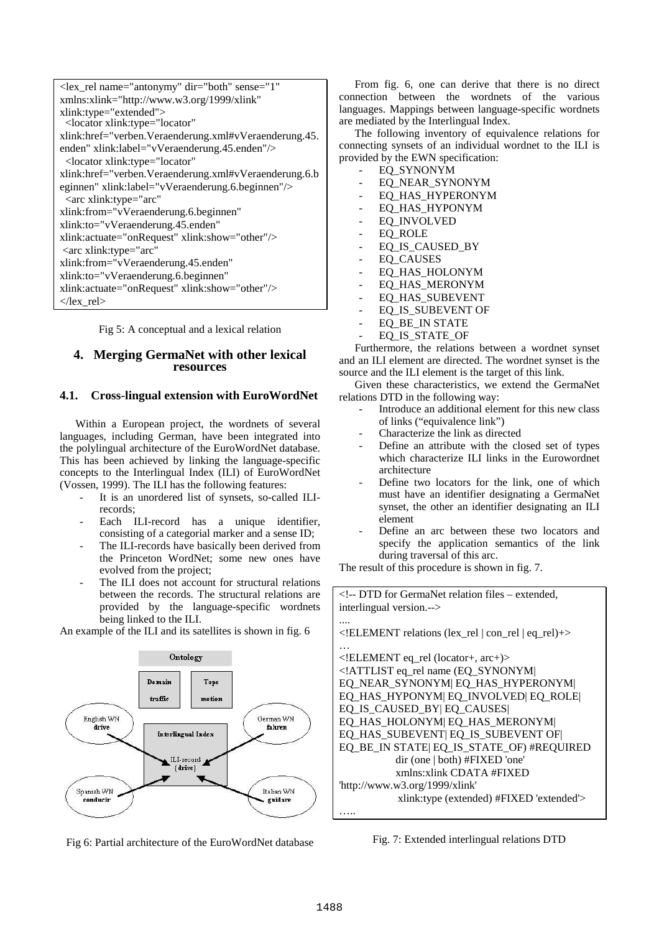| <lex_rel <="" dir="both" name="antonymy" sense="1" th=""></lex_rel>           |
|-------------------------------------------------------------------------------|
| xmlns:xlink="http://www.w3.org/1999/xlink"                                    |
| xlink:type="extended"><br><locator <="" td="" xlink:type="locator"></locator> |
| xlink:href="verben.Veraenderung.xml#vVeraenderung.45.                         |
| enden" xlink:label="vVeraenderung.45.enden"/>                                 |
| <locator <="" td="" xlink:type="locator"></locator>                           |
| xlink:href="verben.Veraenderung.xml#vVeraenderung.6.b                         |
| eginnen" xlink:label="vVeraenderung.6.beginnen"/>                             |
| <arc <="" td="" xlink:type="arc"></arc>                                       |
| xlink:from="vVeraenderung.6.beginnen"                                         |
| xlink:to="vVeraenderung.45.enden"                                             |
| xlink:actuate="onRequest" xlink:show="other"/>                                |
| $\langle$ arc xlink: type="arc"                                               |
| xlink:from="vVeraenderung.45.enden"                                           |
| xlink:to="vVeraenderung.6.beginnen"                                           |
| xlink:actuate="onRequest" xlink:show="other"/>                                |
| $\langle$ lex rel $\rangle$                                                   |

Fig 5: A conceptual and a lexical relation

#### **4. Merging GermaNet with other lexical resources**

## **4.1. Cross-lingual extension with EuroWordNet**

Within a European project, the wordnets of several languages, including German, have been integrated into the polylingual architecture of the EuroWordNet database. This has been achieved by linking the language-specific concepts to the Interlingual Index (ILI) of EuroWordNet (Vossen, 1999). The ILI has the following features:

- It is an unordered list of synsets, so-called ILIrecords;
- Each ILI-record has a unique identifier, consisting of a categorial marker and a sense ID;
- The ILI-records have basically been derived from the Princeton WordNet; some new ones have evolved from the project;
- The ILI does not account for structural relations between the records. The structural relations are provided by the language-specific wordnets being linked to the ILI.

An example of the ILI and its satellites is shown in fig. 6



Fig 6: Partial architecture of the EuroWordNet database

From fig. 6, one can derive that there is no direct connection between the wordnets of the various languages. Mappings between language-specific wordnets are mediated by the Interlingual Index.

The following inventory of equivalence relations for connecting synsets of an individual wordnet to the ILI is provided by the EWN specification:

- EQ\_SYNONYM
- EQ NEAR SYNONYM
- EO HAS HYPERONYM
- EQ HAS HYPONYM
- EQ\_INVOLVED
- EQ ROLE
- EQ\_IS\_CAUSED\_BY
- EQ\_CAUSES
- EQ\_HAS\_HOLONYM
- EQ\_HAS\_MERONYM
- EQ HAS SUBEVENT
- EQ IS SUBEVENT OF
- EQ BE IN STATE
- EQ IS STATE OF

Furthermore, the relations between a wordnet synset and an ILI element are directed. The wordnet synset is the source and the ILI element is the target of this link.

Given these characteristics, we extend the GermaNet relations DTD in the following way:

- Introduce an additional element for this new class of links ("equivalence link")
- Characterize the link as directed
- Define an attribute with the closed set of types which characterize ILI links in the Eurowordnet architecture
- Define two locators for the link, one of which must have an identifier designating a GermaNet synset, the other an identifier designating an ILI element
- Define an arc between these two locators and specify the application semantics of the link during traversal of this arc.

The result of this procedure is shown in fig. 7.

<!-- DTD for GermaNet relation files – extended, interlingual version.--> ....

| ELEMENT relations (lex_rel   con_rel   eq_rel)+ |
|-------------------------------------------------|
|                                                 |
| ELEMENT eq_rel (locator+, arc+)                 |
| ATTLIST eq_rel name (EQ_SYNONYM </td            |
| EQ_NEAR_SYNONYM  EQ_HAS_HYPERONYM               |
| EQ_HAS_HYPONYM  EQ_INVOLVED  EQ_ROLE            |
| EQ_IS_CAUSED_BY  EQ_CAUSES                      |
| EQ HAS HOLONYM EQ HAS MERONYM                   |
| EQ HAS SUBEVENT EQ IS SUBEVENT OF               |
| EQ_BE_IN STATE  EQ_IS_STATE_OF) #REQUIRED       |
| dir (one   both) #FIXED'                        |
| xmlns: xlink CDATA #FIXED                       |
| 'http://www.w3.org/1999/xlink'                  |
| xlink:type (extended) #FIXED 'extended'>        |
|                                                 |

Fig. 7: Extended interlingual relations DTD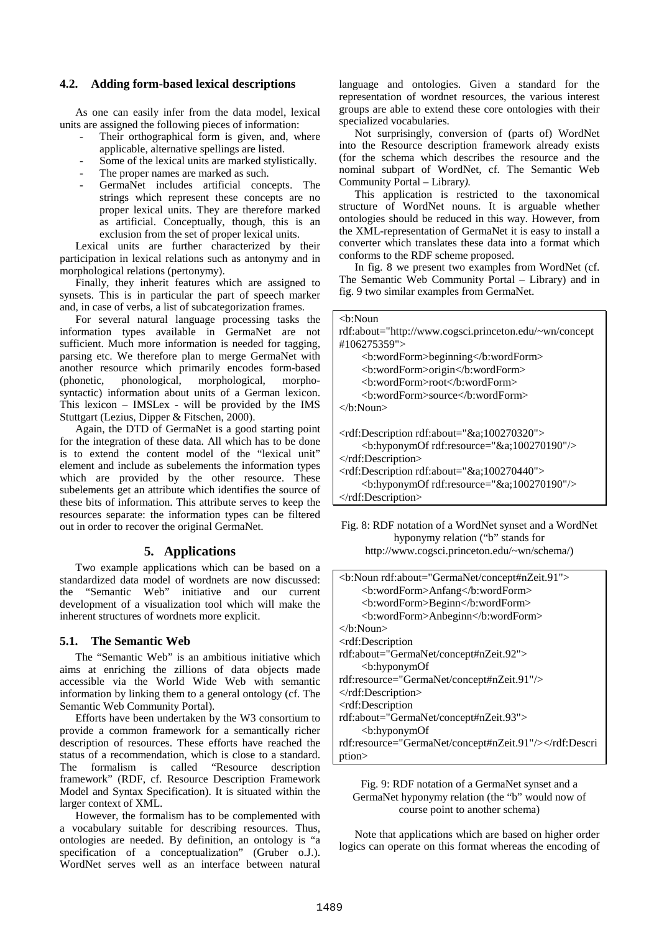#### **4.2. Adding form-based lexical descriptions**

As one can easily infer from the data model, lexical units are assigned the following pieces of information:

- Their orthographical form is given, and, where applicable, alternative spellings are listed.
- Some of the lexical units are marked stylistically.
- The proper names are marked as such.
- GermaNet includes artificial concepts. The strings which represent these concepts are no proper lexical units. They are therefore marked as artificial. Conceptually, though, this is an exclusion from the set of proper lexical units.

Lexical units are further characterized by their participation in lexical relations such as antonymy and in morphological relations (pertonymy).

Finally, they inherit features which are assigned to synsets. This is in particular the part of speech marker and, in case of verbs, a list of subcategorization frames.

For several natural language processing tasks the information types available in GermaNet are not sufficient. Much more information is needed for tagging, parsing etc. We therefore plan to merge GermaNet with another resource which primarily encodes form-based (phonetic, phonological, morphological, morphosyntactic) information about units of a German lexicon. This lexicon – IMSLex - will be provided by the IMS Stuttgart (Lezius, Dipper & Fitschen, 2000).

Again, the DTD of GermaNet is a good starting point for the integration of these data. All which has to be done is to extend the content model of the "lexical unit" element and include as subelements the information types which are provided by the other resource. These subelements get an attribute which identifies the source of these bits of information. This attribute serves to keep the resources separate: the information types can be filtered out in order to recover the original GermaNet.

## **5. Applications**

Two example applications which can be based on a standardized data model of wordnets are now discussed:<br>the "Semantic Web" initiative and our current the "Semantic Web" initiative and our current development of a visualization tool which will make the inherent structures of wordnets more explicit.

#### **5.1. The Semantic Web**

The "Semantic Web" is an ambitious initiative which aims at enriching the zillions of data objects made accessible via the World Wide Web with semantic information by linking them to a general ontology (cf. The Semantic Web Community Portal).

Efforts have been undertaken by the W3 consortium to provide a common framework for a semantically richer description of resources. These efforts have reached the status of a recommendation, which is close to a standard. The formalism is called "Resource description framework" (RDF, cf. Resource Description Framework Model and Syntax Specification). It is situated within the larger context of XML.

However, the formalism has to be complemented with a vocabulary suitable for describing resources. Thus, ontologies are needed. By definition, an ontology is "a specification of a conceptualization" (Gruber o.J.). WordNet serves well as an interface between natural

language and ontologies. Given a standard for the representation of wordnet resources, the various interest groups are able to extend these core ontologies with their specialized vocabularies.

Not surprisingly, conversion of (parts of) WordNet into the Resource description framework already exists (for the schema which describes the resource and the nominal subpart of WordNet, cf. The Semantic Web Community Portal – Library*).*

This application is restricted to the taxonomical structure of WordNet nouns. It is arguable whether ontologies should be reduced in this way. However, from the XML-representation of GermaNet it is easy to install a converter which translates these data into a format which conforms to the RDF scheme proposed.

In fig. 8 we present two examples from WordNet (cf. The Semantic Web Community Portal – Library) and in fig. 9 two similar examples from GermaNet.

| $\langle$ h:Noun                                                                        |
|-----------------------------------------------------------------------------------------|
| rdf:about="http://www.cogsci.princeton.edu/~wn/concept                                  |
| #106275359"                                                                             |
| <b:wordform>beginning</b:wordform>                                                      |
| <b:wordform>origin</b:wordform>                                                         |
| <b:wordform>root</b:wordform>                                                           |
| <b:wordform>source</b:wordform>                                                         |
| $\langle h:\text{Noun}\rangle$                                                          |
|                                                                                         |
| $\langle \text{rdf:Description rdf:about} \rangle \langle \text{d}a, 100270320 \rangle$ |
| $\langle$ b:hyponymOf rdf:resource="&a100270190"/ $>$                                   |
| $\langle \text{rdf:Description} \rangle$                                                |
| <rdf:description rdf:about="&amp;a;100270440"></rdf:description>                        |
| $\langle$ b:hyponymOf rdf:resource="&a100270190"/ $>$                                   |
| $\langle \text{rdf:Description} \rangle$                                                |

Fig. 8: RDF notation of a WordNet synset and a WordNet hyponymy relation ("b" stands for http://www.cogsci.princeton.edu/~wn/schema/)

| <b:noun rdf:about="GermaNet/concept#nZeit.91"></b:noun> |
|---------------------------------------------------------|
| <b:wordform>Anfang</b:wordform>                         |
| <b:wordform>Beginn</b:wordform>                         |
| <b:wordform>Anbeginn</b:wordform>                       |
| $\langle h:\text{Noun}\rangle$                          |
| $\langle$ rdf:Description                               |
| rdf:about="GermaNet/concept#nZeit.92">                  |
| $\langle$ b:hyponym $\chi$                              |
| rdf:resource="GermaNet/concept#nZeit.91"/>              |
| $\langle \text{rdf:Description} \rangle$                |
| <rdf:description< td=""></rdf:description<>             |
| rdf:about="GermaNet/concept#nZeit.93">                  |
| $\langle$ b:hyponym $\chi$                              |
| rdf:resource="GermaNet/concept#nZeit.91"/>              |
| ption>                                                  |

### Fig. 9: RDF notation of a GermaNet synset and a GermaNet hyponymy relation (the "b" would now of course point to another schema)

Note that applications which are based on higher order logics can operate on this format whereas the encoding of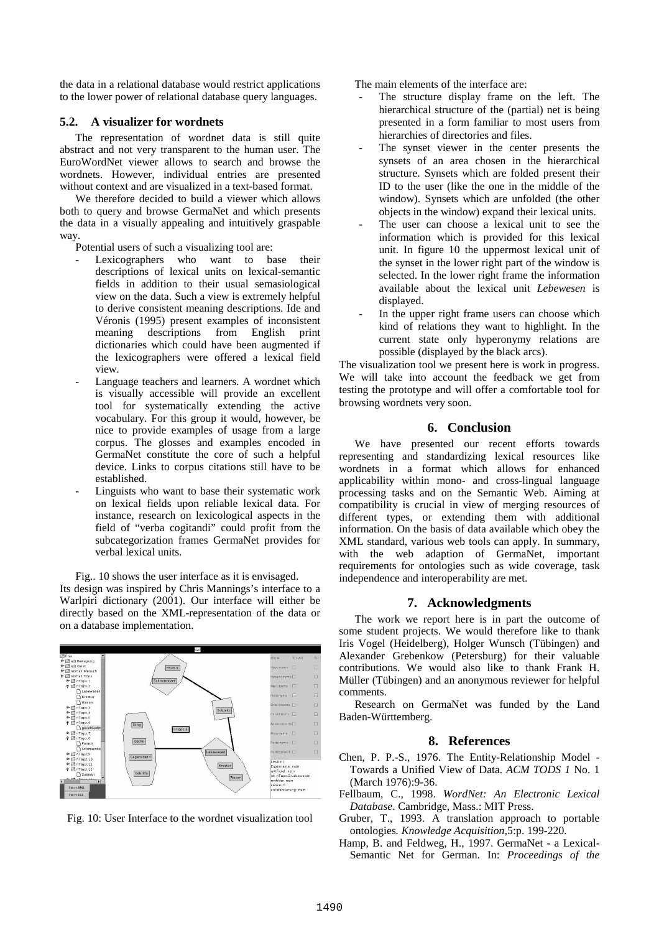the data in a relational database would restrict applications to the lower power of relational database query languages.

#### **5.2. A visualizer for wordnets**

The representation of wordnet data is still quite abstract and not very transparent to the human user. The EuroWordNet viewer allows to search and browse the wordnets. However, individual entries are presented without context and are visualized in a text-based format.

We therefore decided to build a viewer which allows both to query and browse GermaNet and which presents the data in a visually appealing and intuitively graspable way.

Potential users of such a visualizing tool are:

- Lexicographers who want to base their descriptions of lexical units on lexical-semantic fields in addition to their usual semasiological view on the data. Such a view is extremely helpful to derive consistent meaning descriptions. Ide and Véronis (1995) present examples of inconsistent meaning descriptions from English print dictionaries which could have been augmented if the lexicographers were offered a lexical field view.
- Language teachers and learners. A wordnet which is visually accessible will provide an excellent tool for systematically extending the active vocabulary. For this group it would, however, be nice to provide examples of usage from a large corpus. The glosses and examples encoded in GermaNet constitute the core of such a helpful device. Links to corpus citations still have to be established.
- Linguists who want to base their systematic work on lexical fields upon reliable lexical data. For instance, research on lexicological aspects in the field of "verba cogitandi" could profit from the subcategorization frames GermaNet provides for verbal lexical units.

Fig.. 10 shows the user interface as it is envisaged.

Its design was inspired by Chris Mannings's interface to a Warlpiri dictionary (2001). Our interface will either be directly based on the XML-representation of the data or on a database implementation.





The main elements of the interface are:

- The structure display frame on the left. The hierarchical structure of the (partial) net is being presented in a form familiar to most users from hierarchies of directories and files.
- The synset viewer in the center presents the synsets of an area chosen in the hierarchical structure. Synsets which are folded present their ID to the user (like the one in the middle of the window). Synsets which are unfolded (the other objects in the window) expand their lexical units.
- The user can choose a lexical unit to see the information which is provided for this lexical unit. In figure 10 the uppermost lexical unit of the synset in the lower right part of the window is selected. In the lower right frame the information available about the lexical unit *Lebewesen* is displayed.
- In the upper right frame users can choose which kind of relations they want to highlight. In the current state only hyperonymy relations are possible (displayed by the black arcs).

The visualization tool we present here is work in progress. We will take into account the feedback we get from testing the prototype and will offer a comfortable tool for browsing wordnets very soon.

#### **6. Conclusion**

We have presented our recent efforts towards representing and standardizing lexical resources like wordnets in a format which allows for enhanced applicability within mono- and cross-lingual language processing tasks and on the Semantic Web. Aiming at compatibility is crucial in view of merging resources of different types, or extending them with additional information. On the basis of data available which obey the XML standard, various web tools can apply. In summary, with the web adaption of GermaNet, important requirements for ontologies such as wide coverage, task independence and interoperability are met.

#### **7. Acknowledgments**

The work we report here is in part the outcome of some student projects. We would therefore like to thank Iris Vogel (Heidelberg), Holger Wunsch (Tübingen) and Alexander Grebenkow (Petersburg) for their valuable contributions. We would also like to thank Frank H. Müller (Tübingen) and an anonymous reviewer for helpful comments.

Research on GermaNet was funded by the Land Baden-Württemberg.

#### **8. References**

- Chen, P. P.-S., 1976. The Entity-Relationship Model Towards a Unified View of Data*. ACM TODS 1* No. 1 (March 1976):9-36.
- Fellbaum, C., 1998. *WordNet: An Electronic Lexical Database*. Cambridge, Mass.: MIT Press.
- Gruber, T., 1993. A translation approach to portable ontologies*. Knowledge Acquisition,*5:p. 199-220*.*
- Hamp, B. and Feldweg, H., 1997. GermaNet a Lexical-Semantic Net for German. In: *Proceedings of the*